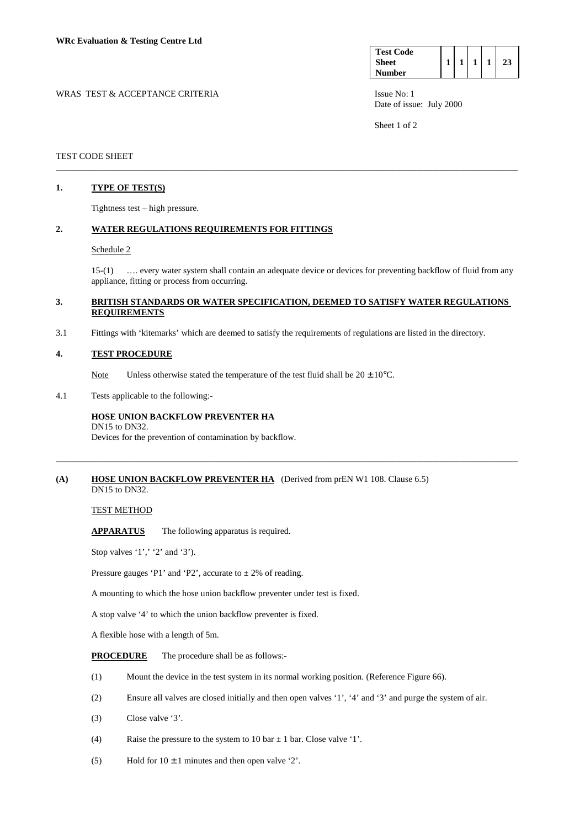| <b>Test Code</b> |  |  |  |
|------------------|--|--|--|
| <b>Sheet</b>     |  |  |  |
| <b>Number</b>    |  |  |  |

WRAS TEST & ACCEPTANCE CRITERIA ISSUE No: 1 Date of issue: July 2000

Sheet 1 of 2

# TEST CODE SHEET

# **1. TYPE OF TEST(S)**

Tightness test – high pressure.

# **2. WATER REGULATIONS REQUIREMENTS FOR FITTINGS**

#### Schedule 2

 15-(1) …. every water system shall contain an adequate device or devices for preventing backflow of fluid from any appliance, fitting or process from occurring.

# **3. BRITISH STANDARDS OR WATER SPECIFICATION, DEEMED TO SATISFY WATER REGULATIONS REQUIREMENTS**

\_\_\_\_\_\_\_\_\_\_\_\_\_\_\_\_\_\_\_\_\_\_\_\_\_\_\_\_\_\_\_\_\_\_\_\_\_\_\_\_\_\_\_\_\_\_\_\_\_\_\_\_\_\_\_\_\_\_\_\_\_\_\_\_\_\_\_\_\_\_\_\_\_\_\_\_\_\_\_\_\_\_\_\_\_\_\_\_\_\_\_\_\_\_\_\_\_\_\_\_\_\_\_

\_\_\_\_\_\_\_\_\_\_\_\_\_\_\_\_\_\_\_\_\_\_\_\_\_\_\_\_\_\_\_\_\_\_\_\_\_\_\_\_\_\_\_\_\_\_\_\_\_\_\_\_\_\_\_\_\_\_\_\_\_\_\_\_\_\_\_\_\_\_\_\_\_\_\_\_\_\_\_\_\_\_\_\_\_\_\_\_\_\_\_\_\_\_\_\_\_\_\_\_\_\_\_

3.1 Fittings with 'kitemarks' which are deemed to satisfy the requirements of regulations are listed in the directory.

#### **4. TEST PROCEDURE**

Note Unless otherwise stated the temperature of the test fluid shall be  $20 \pm 10^{\circ}$ C.

4.1 Tests applicable to the following:-

#### **HOSE UNION BACKFLOW PREVENTER HA**  DN15 to DN32.

Devices for the prevention of contamination by backflow.

### **(A) HOSE UNION BACKFLOW PREVENTER HA** (Derived from prEN W1 108. Clause 6.5) DN15 to DN32.

# TEST METHOD

**APPARATUS** The following apparatus is required.

Stop valves '1',' '2' and '3').

Pressure gauges 'P1' and 'P2', accurate to  $\pm 2\%$  of reading.

A mounting to which the hose union backflow preventer under test is fixed.

A stop valve '4' to which the union backflow preventer is fixed.

A flexible hose with a length of 5m.

**PROCEDURE** The procedure shall be as follows:-

- (1) Mount the device in the test system in its normal working position. (Reference Figure 66).
- (2) Ensure all valves are closed initially and then open valves '1', '4' and '3' and purge the system of air.
- (3) Close valve '3'.
- (4) Raise the pressure to the system to 10 bar  $\pm$  1 bar. Close valve '1'.
- (5) Hold for  $10 \pm 1$  minutes and then open valve '2'.